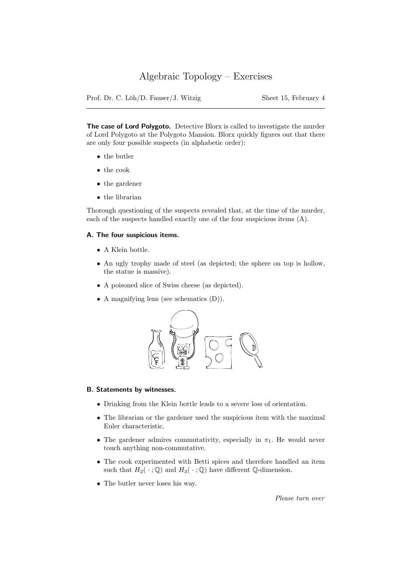# Algebraic Topology – Exercises

Prof. Dr. C. Löh/D. Fauser/J. Witzig Sheet 15, February 4

The case of Lord Polygoto. Detective Blorx is called to investigate the murder of Lord Polygoto at the Polygoto Mansion. Blorx quickly figures out that there are only four possible suspects (in alphabetic order):

- the butler
- the cook
- the gardener
- the librarian

Thorough questioning of the suspects revealed that, at the time of the murder, each of the suspects handled exactly one of the four suspicious items (A).

### A. The four suspicious items.

- A Klein bottle.
- An ugly trophy made of steel (as depicted; the sphere on top is hollow, the statue is massive).
- A poisoned slice of Swiss cheese (as depicted).
- A magnifying lens (see schematics (D)).



#### B. Statements by witnesses.

- Drinking from the Klein bottle leads to a severe loss of orientation.
- The librarian or the gardener used the suspicious item with the maximal Euler characteristic.
- The gardener admires commutativity, especially in  $\pi_1$ . He would never touch anything non-commutative.
- The cook experimented with Betti spices and therefore handled an item such that  $H_2(\cdot; \mathbb{Q})$  and  $H_3(\cdot; \mathbb{Q})$  have different  $\mathbb{Q}$ -dimension.
- The butler never loses his way.